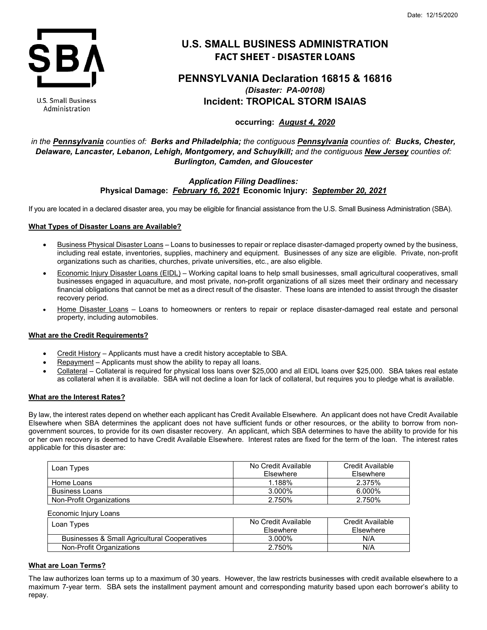

**U.S. Small Business** Administration

# **U.S. SMALL BUSINESS ADMINISTRATION FACT SHEET - DISASTER LOANS**

# **PENNSYLVANIA Declaration 16815 & 16816** *(Disaster: PA-00108)* **Incident: TROPICAL STORM ISAIAS**

**occurring:** *August 4, 2020*

*in the Pennsylvania counties of: Berks and Philadelphia; the contiguous Pennsylvania counties of: Bucks, Chester, Delaware, Lancaster, Lebanon, Lehigh, Montgomery, and Schuylkill; and the contiguous New Jersey counties of: Burlington, Camden, and Gloucester*

# *Application Filing Deadlines:* **Physical Damage:** *February 16, 2021* **Economic Injury:** *September 20, 2021*

If you are located in a declared disaster area, you may be eligible for financial assistance from the U.S. Small Business Administration (SBA).

# **What Types of Disaster Loans are Available?**

- Business Physical Disaster Loans Loans to businesses to repair or replace disaster-damaged property owned by the business, including real estate, inventories, supplies, machinery and equipment. Businesses of any size are eligible. Private, non-profit organizations such as charities, churches, private universities, etc., are also eligible.
- Economic Injury Disaster Loans (EIDL) Working capital loans to help small businesses, small agricultural cooperatives, small businesses engaged in aquaculture, and most private, non-profit organizations of all sizes meet their ordinary and necessary financial obligations that cannot be met as a direct result of the disaster. These loans are intended to assist through the disaster recovery period.
- Home Disaster Loans Loans to homeowners or renters to repair or replace disaster-damaged real estate and personal property, including automobiles.

## **What are the Credit Requirements?**

- Credit History Applicants must have a credit history acceptable to SBA.
- Repayment Applicants must show the ability to repay all loans.
- Collateral Collateral is required for physical loss loans over \$25,000 and all EIDL loans over \$25,000. SBA takes real estate as collateral when it is available. SBA will not decline a loan for lack of collateral, but requires you to pledge what is available.

## **What are the Interest Rates?**

By law, the interest rates depend on whether each applicant has Credit Available Elsewhere. An applicant does not have Credit Available Elsewhere when SBA determines the applicant does not have sufficient funds or other resources, or the ability to borrow from nongovernment sources, to provide for its own disaster recovery. An applicant, which SBA determines to have the ability to provide for his or her own recovery is deemed to have Credit Available Elsewhere. Interest rates are fixed for the term of the loan. The interest rates applicable for this disaster are:

| Loan Types               | No Credit Available<br>Elsewhere | Credit Available<br>Elsewhere |
|--------------------------|----------------------------------|-------------------------------|
| Home Loans               | 1.188%                           | 2.375%                        |
| <b>Business Loans</b>    | 3.000%                           | 6.000%                        |
| Non-Profit Organizations | 2.750%                           | 2.750%                        |

| Economic Injury Loans                                   |                     |                  |
|---------------------------------------------------------|---------------------|------------------|
| Loan Types                                              | No Credit Available | Credit Available |
|                                                         | <b>Fisewhere</b>    | Elsewhere        |
| <b>Businesses &amp; Small Agricultural Cooperatives</b> | 3.000%              | N/A              |
| Non-Profit Organizations                                | 2.750%              | N/A              |

## **What are Loan Terms?**

The law authorizes loan terms up to a maximum of 30 years. However, the law restricts businesses with credit available elsewhere to a maximum 7-year term. SBA sets the installment payment amount and corresponding maturity based upon each borrower's ability to repay.